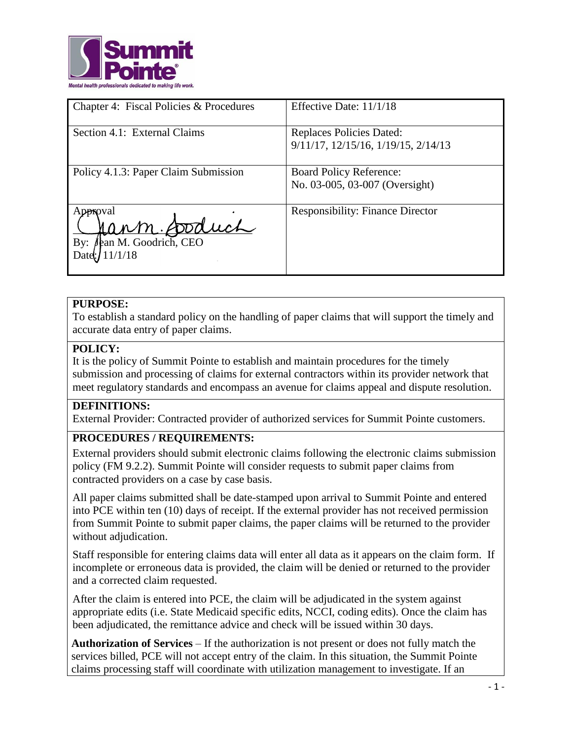

| Chapter 4: Fiscal Policies & Procedures                | Effective Date: 11/1/18                                                |
|--------------------------------------------------------|------------------------------------------------------------------------|
| Section 4.1: External Claims                           | <b>Replaces Policies Dated:</b><br>9/11/17, 12/15/16, 1/19/15, 2/14/13 |
| Policy 4.1.3: Paper Claim Submission                   | <b>Board Policy Reference:</b><br>No. 03-005, 03-007 (Oversight)       |
| Approval<br>ann Soduch<br>fean M. Goodrich, CEO<br>By: | <b>Responsibility: Finance Director</b>                                |

## **PURPOSE:**

To establish a standard policy on the handling of paper claims that will support the timely and accurate data entry of paper claims.

## **POLICY:**

It is the policy of Summit Pointe to establish and maintain procedures for the timely submission and processing of claims for external contractors within its provider network that meet regulatory standards and encompass an avenue for claims appeal and dispute resolution.

#### **DEFINITIONS:**

External Provider: Contracted provider of authorized services for Summit Pointe customers.

#### **PROCEDURES / REQUIREMENTS:**

External providers should submit electronic claims following the electronic claims submission policy (FM 9.2.2). Summit Pointe will consider requests to submit paper claims from contracted providers on a case by case basis.

All paper claims submitted shall be date-stamped upon arrival to Summit Pointe and entered into PCE within ten (10) days of receipt. If the external provider has not received permission from Summit Pointe to submit paper claims, the paper claims will be returned to the provider without adjudication.

Staff responsible for entering claims data will enter all data as it appears on the claim form. If incomplete or erroneous data is provided, the claim will be denied or returned to the provider and a corrected claim requested.

After the claim is entered into PCE, the claim will be adjudicated in the system against appropriate edits (i.e. State Medicaid specific edits, NCCI, coding edits). Once the claim has been adjudicated, the remittance advice and check will be issued within 30 days.

**Authorization of Services** – If the authorization is not present or does not fully match the services billed, PCE will not accept entry of the claim. In this situation, the Summit Pointe claims processing staff will coordinate with utilization management to investigate. If an